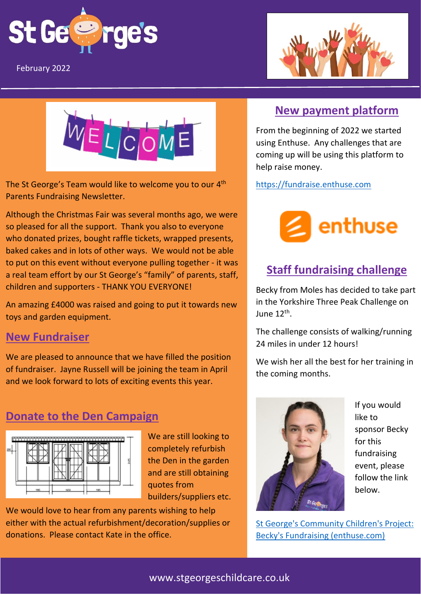

Parents Newsletter- Fundraising edition: May 2021 February 2022





The St George's Team would like to welcome you to our 4<sup>th</sup> Parents Fundraising Newsletter.

Although the Christmas Fair was several months ago, we were so pleased for all the support. Thank you also to everyone who donated prizes, bought raffle tickets, wrapped presents, baked cakes and in lots of other ways. We would not be able to put on this event without everyone pulling together - it was a real team effort by our St George's "family" of parents, staff, children and supporters - THANK YOU EVERYONE!

An amazing £4000 was raised and going to put it towards new toys and garden equipment.

## **New Fundraiser**

We are pleased to announce that we have filled the position of fundraiser. Jayne Russell will be joining the team in April and we look forward to lots of exciting events this year.

## **Donate to the Den Campaign**



We are still looking to completely refurbish the Den in the garden and are still obtaining quotes from builders/suppliers etc.

We would love to hear from any parents wishing to help either with the actual refurbishment/decoration/supplies or donations. Please contact Kate in the office.

## **New payment platform**

From the beginning of 2022 we started using Enthuse. Any challenges that are coming up will be using this platform to help raise money.

[https://fundraise.enthuse.com](https://fundraise.enthuse.com/)



# **Staff fundraising challenge**

Becky from Moles has decided to take part in the Yorkshire Three Peak Challenge on June 12<sup>th</sup>.

The challenge consists of walking/running 24 miles in under 12 hours!

We wish her all the best for her training in the coming months.



If you would like to sponsor Becky for this fundraising event, please follow the link below.

[St George's Community Children's Project:](https://stgeorgescommunitychildrensproject.enthuse.com/pf/rebeccagirardfundraising?fbclid=IwAR0oHqw2VSyLIE2x4rsLijpzXwZsaVFx2PYIV13_BvHDLr7PsMYnHR7yyu8)  [Becky's Fundraising \(enthuse.com\)](https://stgeorgescommunitychildrensproject.enthuse.com/pf/rebeccagirardfundraising?fbclid=IwAR0oHqw2VSyLIE2x4rsLijpzXwZsaVFx2PYIV13_BvHDLr7PsMYnHR7yyu8)